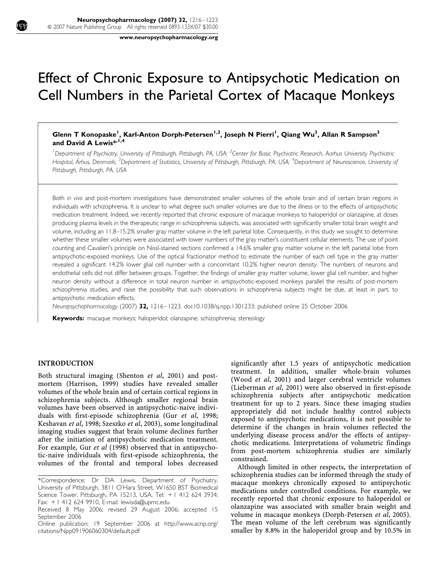www.neuropsychopharmacology.org

# Effect of Chronic Exposure to Antipsychotic Medication on Cell Numbers in the Parietal Cortex of Macaque Monkeys

# Glenn T Konopaske<sup>1</sup>, Karl-Anton Dorph-Petersen<sup>1,2</sup>, Joseph N Pierri<sup>1</sup>, Qiang Wu<sup>3</sup>, Allan R Sampson<sup>3</sup> and David A Lewis\* $,1,4$

<sup>1</sup>Department of Psychiatry, University of Pittsburgh, Pittsburgh, PA, USA; <sup>2</sup>Center for Basic Psychiatric Research, Aarhus University Psychiatric Hospital, Århus, Denmark; <sup>3</sup>Department of Statistics, University of Pittsburgh, Pittsburgh, PA, USA; <sup>4</sup>Department of Neuroscience, University of Pittsburgh, Pittsburgh, PA, USA

Both in vivo and post-mortem investigations have demonstrated smaller volumes of the whole brain and of certain brain regions in individuals with schizophrenia. It is unclear to what degree such smaller volumes are due to the illness or to the effects of antipsychotic medication treatment. Indeed, we recently reported that chronic exposure of macaque monkeys to haloperidol or olanzapine, at doses producing plasma levels in the therapeutic range in schizophrenia subjects, was associated with significantly smaller total brain weight and volume, including an 11.8–15.2% smaller gray matter volume in the left parietal lobe. Consequently, in this study we sought to determine whether these smaller volumes were associated with lower numbers of the gray matter's constituent cellular elements. The use of point counting and Cavalieri's principle on Nissl-stained sections confirmed a 14.6% smaller gray matter volume in the left parietal lobe from antipsychotic-exposed monkeys. Use of the optical fractionator method to estimate the number of each cell type in the gray matter revealed a significant 14.2% lower glial cell number with a concomitant 10.2% higher neuron density. The numbers of neurons and endothelial cells did not differ between groups. Together, the findings of smaller gray matter volume, lower glial cell number, and higher neuron density without a difference in total neuron number in antipsychotic-exposed monkeys parallel the results of post-mortem schizophrenia studies, and raise the possibility that such observations in schizophrenia subjects might be due, at least in part, to antipsychotic medication effects.

Neuropsychopharmacology (2007) 32, 1216–1223. doi:10.1038/sj.npp.1301233; published online 25 October 2006

Keywords: macaque monkeys; haloperidol; olanzapine; schizophrenia; stereology

## INTRODUCTION

 $\overline{1}$ ſ I  $\overline{\phantom{a}}$  $\overline{\phantom{a}}$  $\overline{\phantom{a}}$  $\overline{\phantom{a}}$  $\overline{\phantom{a}}$  $\overline{\phantom{a}}$  $\overline{\phantom{a}}$  $\overline{\phantom{a}}$  $\overline{\phantom{a}}$  $\overline{\phantom{a}}$  $\overline{\phantom{a}}$  $\overline{\phantom{a}}$  $\overline{\phantom{a}}$ ŀ ľ  $\overline{\phantom{a}}$  $\overline{\phantom{a}}$  $\overline{\phantom{a}}$  $\overline{\phantom{a}}$  $\overline{\phantom{a}}$  $\overline{\phantom{a}}$  $\overline{\phantom{a}}$  $\overline{\phantom{a}}$  $\overline{\phantom{a}}$  $\overline{\phantom{a}}$  $\overline{\phantom{a}}$  $\overline{\phantom{a}}$  $\overline{\phantom{a}}$  $\overline{\phantom{a}}$  $\overline{\phantom{a}}$  $\overline{\phantom{a}}$  $\overline{\phantom{a}}$  $\overline{\phantom{a}}$  $\overline{\phantom{a}}$  $\overline{\phantom{a}}$  $\overline{\phantom{a}}$  $\overline{\phantom{a}}$  $\overline{\phantom{a}}$  $\overline{\phantom{a}}$  $\overline{\phantom{a}}$  $\overline{\phantom{a}}$  $\overline{\phantom{a}}$  $\overline{\phantom{a}}$  $\overline{\phantom{a}}$  $\overline{\phantom{a}}$  $\overline{\phantom{a}}$  $\overline{\phantom{a}}$  $\overline{\phantom{a}}$  $\overline{\phantom{a}}$ 

Both structural imaging (Shenton et al, 2001) and postmortem (Harrison, 1999) studies have revealed smaller volumes of the whole brain and of certain cortical regions in schizophrenia subjects. Although smaller regional brain volumes have been observed in antipsychotic-naive individuals with first-episode schizophrenia (Gur et al, 1998; Keshavan et al, 1998; Szeszko et al, 2003), some longitudinal imaging studies suggest that brain volume declines further after the initiation of antipsychotic medication treatment. For example, Gur et al (1998) observed that in antipsychotic-naive individuals with first-episode schizophrenia, the volumes of the frontal and temporal lobes decreased significantly after 1.5 years of antipsychotic medication treatment. In addition, smaller whole-brain volumes (Wood et al, 2001) and larger cerebral ventricle volumes (Lieberman et al, 2001) were also observed in first-episode schizophrenia subjects after antipsychotic medication treatment for up to 2 years. Since these imaging studies appropriately did not include healthy control subjects exposed to antipsychotic medications, it is not possible to determine if the changes in brain volumes reflected the underlying disease process and/or the effects of antipsychotic medications. Interpretations of volumetric findings from post-mortem schizophrenia studies are similarly constrained.

Although limited in other respects, the interpretation of schizophrenia studies can be informed through the study of macaque monkeys chronically exposed to antipsychotic medications under controlled conditions. For example, we recently reported that chronic exposure to haloperidol or olanzapine was associated with smaller brain weight and volume in macaque monkeys (Dorph-Petersen et al, 2005). The mean volume of the left cerebrum was significantly smaller by 8.8% in the haloperidol group and by 10.5% in

<sup>\*</sup>Correspondence: Dr DA Lewis, Department of Psychiatry, University of Pittsburgh, 3811 O'Hara Street, W1650 BST Biomedical Science Tower, Pittsburgh, PA 15213, USA, Tel: + 1 412 624 3934; Fax: + 1 412 624 9910, E-mail: lewisda@upmc.edu

Received 8 May 2006; revised 29 August 2006; accepted 15 September 2006

Online publication: 19 September 2006 at http://www.acnp.org/ citations/Npp091906060304/default.pdf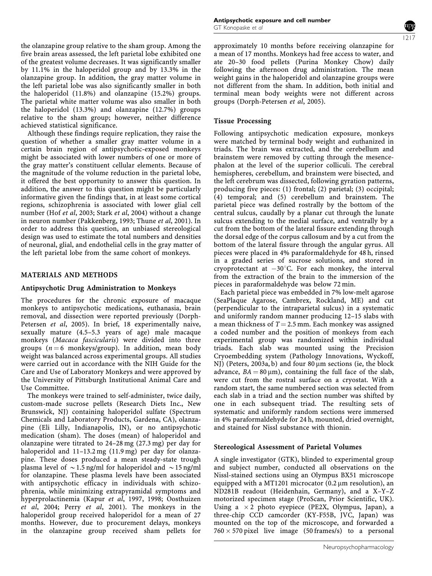the olanzapine group relative to the sham group. Among the five brain areas assessed, the left parietal lobe exhibited one of the greatest volume decreases. It was significantly smaller by 11.1% in the haloperidol group and by 13.3% in the olanzapine group. In addition, the gray matter volume in the left parietal lobe was also significantly smaller in both the haloperidol (11.8%) and olanzapine (15.2%) groups. The parietal white matter volume was also smaller in both the haloperidol (13.3%) and olanzapine (12.7%) groups relative to the sham group; however, neither difference achieved statistical significance.

Although these findings require replication, they raise the question of whether a smaller gray matter volume in a certain brain region of antipsychotic-exposed monkeys might be associated with lower numbers of one or more of the gray matter's constituent cellular elements. Because of the magnitude of the volume reduction in the parietal lobe, it offered the best opportunity to answer this question. In addition, the answer to this question might be particularly informative given the findings that, in at least some cortical regions, schizophrenia is associated with lower glial cell number (Hof et al, 2003; Stark et al, 2004) without a change in neuron number (Pakkenberg, 1993; Thune et al, 2001). In order to address this question, an unbiased stereological design was used to estimate the total numbers and densities of neuronal, glial, and endothelial cells in the gray matter of the left parietal lobe from the same cohort of monkeys.

## MATERIALS AND METHODS

#### Antipsychotic Drug Administration to Monkeys

The procedures for the chronic exposure of macaque monkeys to antipsychotic medications, euthanasia, brain removal, and dissection were reported previously (Dorph-Petersen et al, 2005). In brief, 18 experimentally naive, sexually mature (4.5–5.3 years of age) male macaque monkeys (Macaca fascicularis) were divided into three groups  $(n = 6 \text{ monkeys/group})$ . In addition, mean body weight was balanced across experimental groups. All studies were carried out in accordance with the NIH Guide for the Care and Use of Laboratory Monkeys and were approved by the University of Pittsburgh Institutional Animal Care and Use Committee.

The monkeys were trained to self-administer, twice daily, custom-made sucrose pellets (Research Diets Inc., New Brunswick, NJ) containing haloperidol sulfate (Spectrum Chemicals and Laboratory Products, Gardena, CA), olanzapine (Eli Lilly, Indianapolis, IN), or no antipsychotic medication (sham). The doses (mean) of haloperidol and olanzapine were titrated to 24–28 mg (27.3 mg) per day for haloperidol and 11–13.2 mg (11.9 mg) per day for olanzapine. These doses produced a mean steady-state trough plasma level of  $\sim$  1.5 ng/ml for haloperidol and  $\sim$  15 ng/ml for olanzapine. These plasma levels have been associated with antipsychotic efficacy in individuals with schizophrenia, while minimizing extrapyramidal symptoms and hyperprolactinemia (Kapur et al, 1997, 1998; Oosthuizen et al, 2004; Perry et al, 2001). The monkeys in the haloperidol group received haloperidol for a mean of 27 months. However, due to procurement delays, monkeys in the olanzapine group received sham pellets for approximately 10 months before receiving olanzapine for a mean of 17 months. Monkeys had free access to water, and ate 20–30 food pellets (Purina Monkey Chow) daily following the afternoon drug administration. The mean weight gains in the haloperidol and olanzapine groups were not different from the sham. In addition, both initial and terminal mean body weights were not different across groups (Dorph-Petersen et al, 2005).

#### Tissue Processing

Following antipsychotic medication exposure, monkeys were matched by terminal body weight and euthanized in triads. The brain was extracted, and the cerebellum and brainstem were removed by cutting through the mesencephalon at the level of the superior colliculi. The cerebral hemispheres, cerebellum, and brainstem were bisected, and the left cerebrum was dissected, following gyration patterns, producing five pieces: (1) frontal; (2) parietal; (3) occipital; (4) temporal; and (5) cerebellum and brainstem. The parietal piece was defined rostrally by the bottom of the central sulcus, caudally by a planar cut through the lunate sulcus extending to the medial surface, and ventrally by a cut from the bottom of the lateral fissure extending through the dorsal edge of the corpus callosum and by a cut from the bottom of the lateral fissure through the angular gyrus. All pieces were placed in 4% paraformaldehyde for 48 h, rinsed in a graded series of sucrose solutions, and stored in cryoprotectant at  $-30^{\circ}$ C. For each monkey, the interval from the extraction of the brain to the immersion of the pieces in paraformaldehyde was below 72 min.

Each parietal piece was embedded in 7% low-melt agarose (SeaPlaque Agarose, Cambrex, Rockland, ME) and cut (perpendicular to the intraparietal sulcus) in a systematic and uniformly random manner producing 12–15 slabs with a mean thickness of  $T = 2.5$  mm. Each monkey was assigned a coded number and the position of monkeys from each experimental group was randomized within individual triads. Each slab was mounted using the Precision Cryoembedding system (Pathology Innovations, Wyckoff, NJ) (Peters, 2003a, b) and four 80  $\mu$ m sections (ie, the block advance,  $BA = 80 \mu m$ , containing the full face of the slab, were cut from the rostral surface on a cryostat. With a random start, the same numbered section was selected from each slab in a triad and the section number was shifted by one in each subsequent triad. The resulting sets of systematic and uniformly random sections were immersed in 4% paraformaldehyde for 24 h, mounted, dried overnight, and stained for Nissl substance with thionin.

#### Stereological Assessment of Parietal Volumes

A single investigator (GTK), blinded to experimental group and subject number, conducted all observations on the Nissl-stained sections using an Olympus BX51 microscope equipped with a MT1201 microcator  $(0.2 \mu m$  resolution), an ND281B readout (Heidenhain, Germany), and a X–Y–Z motorized specimen stage (ProScan, Prior Scientific, UK). Using a  $\times$  2 photo eyepiece (PE2X, Olympus, Japan), a three-chip CCD camcorder (KY-F55B, JVC, Japan) was mounted on the top of the microscope, and forwarded a  $760 \times 570$  pixel live image (50 frames/s) to a personal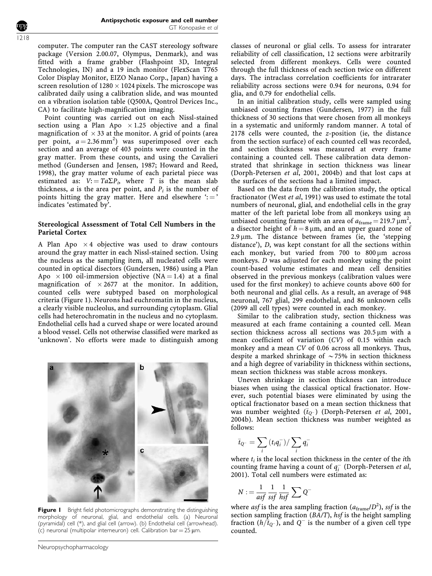computer. The computer ran the CAST stereology software package (Version 2.00.07, Olympus, Denmark), and was fitted with a frame grabber (Flashpoint 3D, Integral Technologies, IN) and a 19 inch monitor (FlexScan T765 Color Display Monitor, EIZO Nanao Corp., Japan) having a screen resolution of  $1280 \times 1024$  pixels. The microscope was calibrated daily using a calibration slide, and was mounted on a vibration isolation table (Q500A, Qontrol Devices Inc., CA) to facilitate high-magnification imaging.

Point counting was carried out on each Nissl-stained section using a Plan Apo  $\times$  1.25 objective and a final magnification of  $\times$  33 at the monitor. A grid of points (area per point,  $a = 2.36 \text{ mm}^2$ ) was superimposed over each section and an average of 403 points were counted in the gray matter. From these counts, and using the Cavalieri method (Gundersen and Jensen, 1987; Howard and Reed, 1998), the gray matter volume of each parietal piece was estimated as:  $V: = Ta\Sigma P_i$ , where T is the mean slab thickness, *a* is the area per point, and  $P_i$  is the number of points hitting the gray matter. Here and elsewhere  $\div$ indicates 'estimated by'.

## Stereological Assessment of Total Cell Numbers in the Parietal Cortex

A Plan Apo  $\times$  4 objective was used to draw contours around the gray matter in each Nissl-stained section. Using the nucleus as the sampling item, all nucleated cells were counted in optical disectors (Gundersen, 1986) using a Plan Apo  $\times$  100 oil-immersion objective (NA = 1.4) at a final magnification of  $\times 2677$  at the monitor. In addition, counted cells were subtyped based on morphological criteria (Figure 1). Neurons had euchromatin in the nucleus, a clearly visible nucleolus, and surrounding cytoplasm. Glial cells had heterochromatin in the nucleus and no cytoplasm. Endothelial cells had a curved shape or were located around a blood vessel. Cells not otherwise classified were marked as 'unknown'. No efforts were made to distinguish among



Figure I Bright field photomicrographs demonstrating the distinguishing morphology of neuronal, glial, and endothelial cells. (a) Neuronal (pyramidal) cell (\*), and glial cell (arrow). (b) Endothelial cell (arrowhead). (c) neuronal (multipolar interneuron) cell. Calibration bar =  $25 \mu m$ .

classes of neuronal or glial cells. To assess for intrarater reliability of cell classification, 12 sections were arbitrarily selected from different monkeys. Cells were counted through the full thickness of each section twice on different days. The intraclass correlation coefficients for intrarater reliability across sections were 0.94 for neurons, 0.94 for glia, and 0.79 for endothelial cells.

In an initial calibration study, cells were sampled using unbiased counting frames (Gundersen, 1977) in the full thickness of 30 sections that were chosen from all monkeys in a systematic and uniformly random manner. A total of 2178 cells were counted, the z-position (ie, the distance from the section surface) of each counted cell was recorded, and section thickness was measured at every frame containing a counted cell. These calibration data demonstrated that shrinkage in section thickness was linear (Dorph-Petersen et al, 2001, 2004b) and that lost caps at the surfaces of the sections had a limited impact.

Based on the data from the calibration study, the optical fractionator (West et al, 1991) was used to estimate the total numbers of neuronal, glial, and endothelial cells in the gray matter of the left parietal lobe from all monkeys using an unbiased counting frame with an area of  $a_{\text{frame}} = 219.7 \text{ }\mu\text{m}^2$ , a disector height of  $h = 8 \mu m$ , and an upper guard zone of  $2.9 \,\mu$ m. The distance between frames (ie, the 'stepping distance'), D, was kept constant for all the sections within each monkey, but varied from 700 to  $800 \,\mu m$  across monkeys. D was adjusted for each monkey using the point count-based volume estimates and mean cell densities observed in the previous monkeys (calibration values were used for the first monkey) to achieve counts above 600 for both neuronal and glial cells. As a result, an average of 948 neuronal, 767 glial, 299 endothelial, and 86 unknown cells (2099 all cell types) were counted in each monkey.

Similar to the calibration study, section thickness was measured at each frame containing a counted cell. Mean section thickness across all sections was 20.5 um with a mean coefficient of variation (CV) of 0.15 within each monkey and a mean CV of 0.06 across all monkeys. Thus, despite a marked shrinkage of  $\sim$  75% in section thickness and a high degree of variability in thickness within sections, mean section thickness was stable across monkeys.

Uneven shrinkage in section thickness can introduce biases when using the classical optical fractionator. However, such potential biases were eliminated by using the optical fractionator based on a mean section thickness that was number weighted  $(\bar{t}_{Q^-})$  (Dorph-Petersen *et al*, 2001, 2004b). Mean section thickness was number weighted as follows:

$$
\bar{t}_{Q^-} = \sum_i (t_i q_i^-) / \sum_i q_i^-
$$

where  $t_i$  is the local section thickness in the center of the *i*th counting frame having a count of  $q_i^-$  (Dorph-Petersen et al, 2001). Total cell numbers were estimated as:

$$
N := \frac{1}{asf} \frac{1}{ssf} \frac{1}{hsf} \sum Q^{-}
$$

where *asf* is the area sampling fraction ( $a_{\mathrm{frame}}/D^2$ ), *ssf* is the section sampling fraction (BA/T), hsf is the height sampling fraction  $(h/\overline{t}_{Q^-})$ , and  $Q^-$  is the number of a given cell type counted.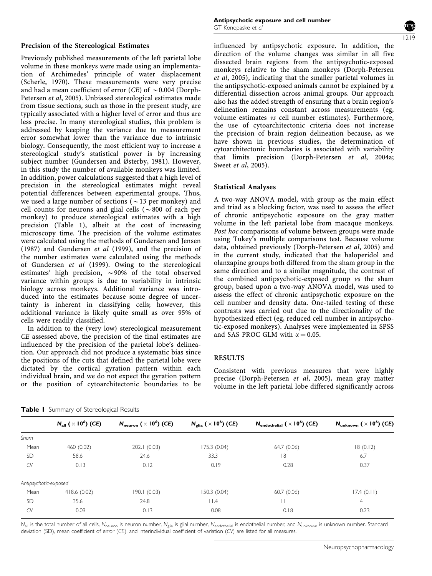Previously published measurements of the left parietal lobe volume in these monkeys were made using an implementation of Archimedes' principle of water displacement (Scherle, 1970). These measurements were very precise and had a mean coefficient of error (CE) of  $\sim$  0.004 (Dorph-Petersen et al, 2005). Unbiased stereological estimates made from tissue sections, such as those in the present study, are typically associated with a higher level of error and thus are less precise. In many stereological studies, this problem is addressed by keeping the variance due to measurement error somewhat lower than the variance due to intrinsic biology. Consequently, the most efficient way to increase a stereological study's statistical power is by increasing subject number (Gundersen and Østerby, 1981). However, in this study the number of available monkeys was limited. In addition, power calculations suggested that a high level of precision in the stereological estimates might reveal potential differences between experimental groups. Thus, we used a large number of sections ( $\sim$ 13 per monkey) and cell counts for neurons and glial cells ( $\sim 800$  of each per monkey) to produce stereological estimates with a high precision (Table 1), albeit at the cost of increasing microscopy time. The precision of the volume estimates were calculated using the methods of Gundersen and Jensen (1987) and Gundersen et al (1999), and the precision of the number estimates were calculated using the methods of Gundersen et al (1999). Owing to the stereological estimates' high precision,  $\sim$ 90% of the total observed variance within groups is due to variability in intrinsic biology across monkeys. Additional variance was introduced into the estimates because some degree of uncertainty is inherent in classifying cells; however, this additional variance is likely quite small as over 95% of cells were readily classified.

In addition to the (very low) stereological measurement CE assessed above, the precision of the final estimates are influenced by the precision of the parietal lobe's delineation. Our approach did not produce a systematic bias since the positions of the cuts that defined the parietal lobe were dictated by the cortical gyration pattern within each individual brain, and we do not expect the gyration pattern or the position of cytoarchitectonic boundaries to be influenced by antipsychotic exposure. In addition, the direction of the volume changes was similar in all five dissected brain regions from the antipsychotic-exposed monkeys relative to the sham monkeys (Dorph-Petersen et al, 2005), indicating that the smaller parietal volumes in the antipsychotic-exposed animals cannot be explained by a differential dissection across animal groups. Our approach also has the added strength of ensuring that a brain region's delineation remains constant across measurements (eg, volume estimates vs cell number estimates). Furthermore, the use of cytoarchitectonic criteria does not increase the precision of brain region delineation because, as we have shown in previous studies, the determination of cytoarchitectonic boundaries is associated with variability that limits precision (Dorph-Petersen et al, 2004a; Sweet *et al*, 2005).

# Statistical Analyses

A two-way ANOVA model, with group as the main effect and triad as a blocking factor, was used to assess the effect of chronic antipsychotic exposure on the gray matter volume in the left parietal lobe from macaque monkeys. Post hoc comparisons of volume between groups were made using Tukey's multiple comparisons test. Because volume data, obtained previously (Dorph-Petersen et al, 2005) and in the current study, indicated that the haloperidol and olanzapine groups both differed from the sham group in the same direction and to a similar magnitude, the contrast of the combined antipsychotic-exposed group vs the sham group, based upon a two-way ANOVA model, was used to assess the effect of chronic antipsychotic exposure on the cell number and density data. One-tailed testing of these contrasts was carried out due to the directionality of the hypothesized effect (eg, reduced cell number in antipsychotic-exposed monkeys). Analyses were implemented in SPSS and SAS PROC GLM with  $\alpha = 0.05$ .

## RESULTS

Consistent with previous measures that were highly precise (Dorph-Petersen et al, 2005), mean gray matter volume in the left parietal lobe differed significantly across

|  | Table I Summary of Stereological Results |  |  |
|--|------------------------------------------|--|--|
|  |                                          |  |  |

|                       | $N_{\text{all}}$ ( $\times$ 10 <sup>6</sup> ) (CE) | $N_{\text{neuron}}$ ( $\times$ 10 <sup>6</sup> ) (CE) | $N_{\text{glia}}\ (\times\ 10^6)\ (CE)$ | $N_{\text{endothelial}}$ ( $\times$ 10 <sup>6</sup> ) (CE) | $N_{unknown}$ ( $\times$ 10 <sup>6</sup> ) (CE) |
|-----------------------|----------------------------------------------------|-------------------------------------------------------|-----------------------------------------|------------------------------------------------------------|-------------------------------------------------|
| Sham                  |                                                    |                                                       |                                         |                                                            |                                                 |
| Mean                  | 460 (0.02)                                         | 202.1 (0.03)                                          | 175.3 (0.04)                            | 64.7 (0.06)                                                | 18(0.12)                                        |
| <b>SD</b>             | 58.6                                               | 24.6                                                  | 33.3                                    | 18                                                         | 6.7                                             |
| CV                    | 0.13                                               | 0.12                                                  | 0.19                                    | 0.28                                                       | 0.37                                            |
| Antipsychotic-exposed |                                                    |                                                       |                                         |                                                            |                                                 |
| Mean                  | 418.6(0.02)                                        | 190.1(0.03)                                           | 150.3 (0.04)                            | 60.7(0.06)                                                 | 17.4(0.11)                                      |
| <b>SD</b>             | 35.6                                               | 24.8                                                  | $  \cdot  $ .4                          | П                                                          | 4                                               |
| CV                    | 0.09                                               | 0.13                                                  | 0.08                                    | 0.18                                                       | 0.23                                            |

 $N_{all}$  is the total number of all cells,  $N_{neuron}$  is neuron number,  $N_{glia}$  is glial number,  $N_{endothelial}$  is endothelial number, and  $N_{unknown}$  is unknown number. Standard deviation (SD), mean coefficient of error (CE), and interindividual coefficient of variation (CV) are listed for all measures.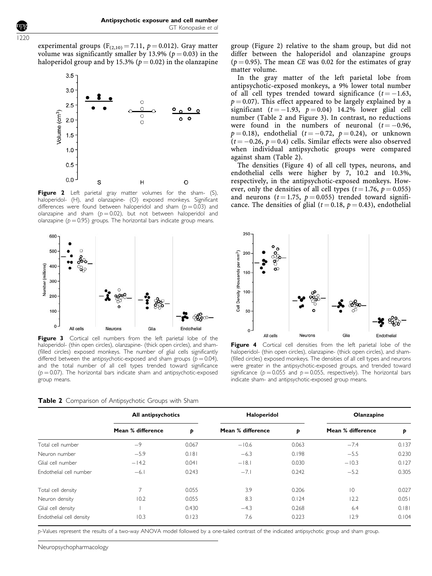experimental groups ( $F_{(2,10)} = 7.11$ ,  $p = 0.012$ ). Gray matter volume was significantly smaller by 13.9% ( $p = 0.03$ ) in the haloperidol group and by 15.3% ( $p = 0.02$ ) in the olanzapine



Figure 2 Left parietal gray matter volumes for the sham- (S), haloperidol- (H), and olanzapine- (O) exposed monkeys. Significant differences were found between haloperidol and sham ( $p = 0.03$ ) and olanzapine and sham ( $p = 0.02$ ), but not between haloperidol and olanzapine ( $p = 0.95$ ) groups. The horizontal bars indicate group means.



Figure 3 Cortical cell numbers from the left parietal lobe of the haloperidol- (thin open circles), olanzapine- (thick open circles), and sham- (filled circles) exposed monkeys. The number of glial cells significantly differed between the antipsychotic-exposed and sham groups  $(p = 0.04)$ , and the total number of all cell types trended toward significance  $(p = 0.07)$ . The horizontal bars indicate sham and antipsychotic-exposed group means.

Table 2 Comparison of Antipsychotic Groups with Sham

group (Figure 2) relative to the sham group, but did not differ between the haloperidol and olanzapine groups  $(p = 0.95)$ . The mean CE was 0.02 for the estimates of gray matter volume.

In the gray matter of the left parietal lobe from antipsychotic-exposed monkeys, a 9% lower total number of all cell types trended toward significance  $(t = -1.63,$  $p = 0.07$ ). This effect appeared to be largely explained by a significant ( $t = -1.93$ ,  $p = 0.04$ ) 14.2% lower glial cell number (Table 2 and Figure 3). In contrast, no reductions were found in the numbers of neuronal  $(t = -0.96,$  $p=0.18$ ), endothelial ( $t=-0.72, \,\, p=0.24$ ), or unknown ( $t \rm = -0.26, \, p \rm = 0.4$ ) cells. Similar effects were also observed when individual antipsychotic groups were compared against sham (Table 2).

The densities (Figure 4) of all cell types, neurons, and endothelial cells were higher by 7, 10.2 and 10.3%, respectively, in the antipsychotic-exposed monkeys. However, only the densities of all cell types ( $t = 1.76$ ,  $p = 0.055$ ) and neurons  $(t = 1.75, p = 0.055)$  trended toward significance. The densities of glial ( $t = 0.18$ ,  $p = 0.43$ ), endothelial



Figure 4 Cortical cell densities from the left parietal lobe of the haloperidol- (thin open circles), olanzapine- (thick open circles), and sham- (filled circles) exposed monkeys. The densities of all cell types and neurons were greater in the antipsychotic-exposed groups, and trended toward significance ( $p = 0.055$  and  $p = 0.055$ , respectively). The horizontal bars indicate sham- and antipsychotic-exposed group means.

|                          | All antipsychotics |       | Haloperidol       |       | Olanzapine        |       |
|--------------------------|--------------------|-------|-------------------|-------|-------------------|-------|
|                          | Mean % difference  | Þ     | Mean % difference | Þ     | Mean % difference | Þ     |
| Total cell number        | $-9$               | 0.067 | $-10.6$           | 0.063 | $-7.4$            | 0.137 |
| Neuron number            | $-5.9$             | 0.181 | $-6.3$            | 0.198 | $-5.5$            | 0.230 |
| Glial cell number        | $-14.2$            | 0.041 | $-18.1$           | 0.030 | $-10.3$           | 0.127 |
| Endothelial cell number  | $-6.1$             | 0.243 | $-7.1$            | 0.242 | $-5.2$            | 0.305 |
| Total cell density       | $\overline{ }$     | 0.055 | 3.9               | 0.206 | $ 0\rangle$       | 0.027 |
| Neuron density           | 10.2               | 0.055 | 8.3               | 0.124 | 12.2              | 0.051 |
| Glial cell density       |                    | 0.430 | $-4.3$            | 0.268 | 6.4               | 0.181 |
| Endothelial cell density | 10.3               | 0.123 | 7.6               | 0.223 | 12.9              | 0.104 |

p-Values represent the results of a two-way ANOVA model followed by a one-tailed contrast of the indicated antipsychotic group and sham group.

Neuropsychopharmacology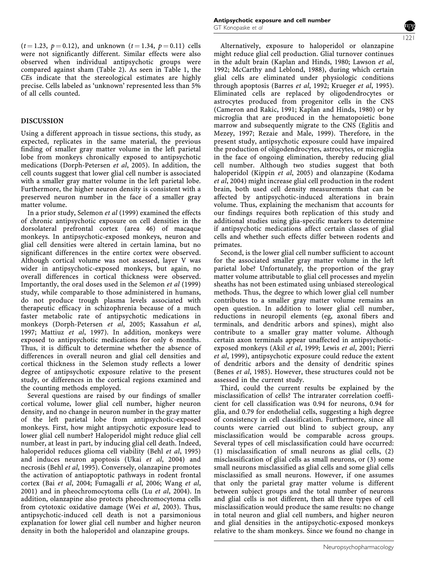$(t = 1.23, p = 0.12)$ , and unknown  $(t = 1.34, p = 0.11)$  cells were not significantly different. Similar effects were also observed when individual antipsychotic groups were compared against sham (Table 2). As seen in Table 1, the CEs indicate that the stereological estimates are highly precise. Cells labeled as 'unknown' represented less than 5% of all cells counted.

#### DISCUSSION

Using a different approach in tissue sections, this study, as expected, replicates in the same material, the previous finding of smaller gray matter volume in the left parietal lobe from monkeys chronically exposed to antipsychotic medications (Dorph-Petersen et al, 2005). In addition, the cell counts suggest that lower glial cell number is associated with a smaller gray matter volume in the left parietal lobe. Furthermore, the higher neuron density is consistent with a preserved neuron number in the face of a smaller gray matter volume.

In a prior study, Selemon et al (1999) examined the effects of chronic antipsychotic exposure on cell densities in the dorsolateral prefrontal cortex (area 46) of macaque monkeys. In antipsychotic-exposed monkeys, neuron and glial cell densities were altered in certain lamina, but no significant differences in the entire cortex were observed. Although cortical volume was not assessed, layer V was wider in antipsychotic-exposed monkeys, but again, no overall differences in cortical thickness were observed. Importantly, the oral doses used in the Selemon et al (1999) study, while comparable to those administered in humans, do not produce trough plasma levels associated with therapeutic efficacy in schizophrenia because of a much faster metabolic rate of antipsychotic medications in monkeys (Dorph-Petersen et al, 2005; Kassahun et al, 1997; Mattiuz et al, 1997). In addition, monkeys were exposed to antipsychotic medications for only 6 months. Thus, it is difficult to determine whether the absence of differences in overall neuron and glial cell densities and cortical thickness in the Selemon study reflects a lower degree of antipsychotic exposure relative to the present study, or differences in the cortical regions examined and the counting methods employed.

Several questions are raised by our findings of smaller cortical volume, lower glial cell number, higher neuron density, and no change in neuron number in the gray matter of the left parietal lobe from antipsychotic-exposed monkeys. First, how might antipsychotic exposure lead to lower glial cell number? Haloperidol might reduce glial cell number, at least in part, by inducing glial cell death. Indeed, haloperidol reduces glioma cell viability (Behl et al, 1995) and induces neuron apoptosis (Ukai et al, 2004) and necrosis (Behl et al, 1995). Conversely, olanzapine promotes the activation of antiapoptotic pathways in rodent frontal cortex (Bai et al, 2004; Fumagalli et al, 2006; Wang et al, 2001) and in pheochromocytoma cells (Lu et al, 2004). In addition, olanzapine also protects pheochromocytoma cells from cytotoxic oxidative damage (Wei et al, 2003). Thus, antipsychotic-induced cell death is not a parsimonious explanation for lower glial cell number and higher neuron density in both the haloperidol and olanzapine groups.

Alternatively, exposure to haloperidol or olanzapine might reduce glial cell production. Glial turnover continues in the adult brain (Kaplan and Hinds, 1980; Lawson et al, 1992; McCarthy and Leblond, 1988), during which certain glial cells are eliminated under physiologic conditions through apoptosis (Barres et al, 1992; Krueger et al, 1995). Eliminated cells are replaced by oligodendrocytes or astrocytes produced from progenitor cells in the CNS (Cameron and Rakic, 1991; Kaplan and Hinds, 1980) or by microglia that are produced in the hematopoietic bone marrow and subsequently migrate to the CNS (Eglitis and Mezey, 1997; Rezaie and Male, 1999). Therefore, in the present study, antipsychotic exposure could have impaired the production of oligodendrocytes, astrocytes, or microglia in the face of ongoing elimination, thereby reducing glial cell number. Although two studies suggest that both haloperidol (Kippin et al, 2005) and olanzapine (Kodama et al, 2004) might increase glial cell production in the rodent brain, both used cell density measurements that can be affected by antipsychotic-induced alterations in brain volume. Thus, explaining the mechanism that accounts for our findings requires both replication of this study and additional studies using glia-specific markers to determine if antipsychotic medications affect certain classes of glial cells and whether such effects differ between rodents and primates.

Second, is the lower glial cell number sufficient to account for the associated smaller gray matter volume in the left parietal lobe? Unfortunately, the proportion of the gray matter volume attributable to glial cell processes and myelin sheaths has not been estimated using unbiased stereological methods. Thus, the degree to which lower glial cell number contributes to a smaller gray matter volume remains an open question. In addition to lower glial cell number, reductions in neuropil elements (eg, axonal fibers and terminals, and dendritic arbors and spines), might also contribute to a smaller gray matter volume. Although certain axon terminals appear unaffected in antipsychoticexposed monkeys (Akil et al, 1999; Lewis et al, 2001; Pierri et al, 1999), antipsychotic exposure could reduce the extent of dendritic arbors and the density of dendritic spines (Benes et al, 1985). However, these structures could not be assessed in the current study.

Third, could the current results be explained by the misclassification of cells? The intrarater correlation coefficient for cell classification was 0.94 for neurons, 0.94 for glia, and 0.79 for endothelial cells, suggesting a high degree of consistency in cell classification. Furthermore, since all counts were carried out blind to subject group, any misclassification would be comparable across groups. Several types of cell misclassification could have occurred: (1) misclassification of small neurons as glial cells, (2) misclassification of glial cells as small neurons, or (3) some small neurons misclassified as glial cells and some glial cells misclassified as small neurons. However, if one assumes that only the parietal gray matter volume is different between subject groups and the total number of neurons and glial cells is not different, then all three types of cell misclassification would produce the same results: no change in total neuron and glial cell numbers, and higher neuron and glial densities in the antipsychotic-exposed monkeys relative to the sham monkeys. Since we found no change in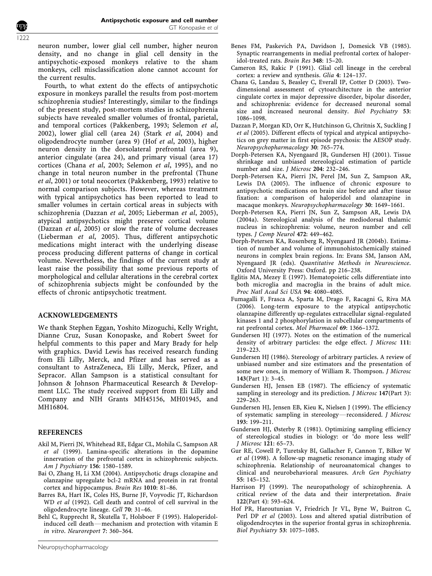neuron number, lower glial cell number, higher neuron density, and no change in glial cell density in the antipsychotic-exposed monkeys relative to the sham monkeys, cell misclassification alone cannot account for the current results.

Fourth, to what extent do the effects of antipsychotic exposure in monkeys parallel the results from post-mortem schizophrenia studies? Interestingly, similar to the findings of the present study, post-mortem studies in schizophrenia subjects have revealed smaller volumes of frontal, parietal, and temporal cortices (Pakkenberg, 1993; Selemon et al, 2002), lower glial cell (area 24) (Stark et al, 2004) and oligodendrocyte number (area 9) (Hof et al, 2003), higher neuron density in the dorsolateral prefrontal (area 9), anterior cingulate (area 24), and primary visual (area 17) cortices (Chana et al, 2003; Selemon et al, 1995), and no change in total neuron number in the prefrontal (Thune et al, 2001) or total neocortex (Pakkenberg, 1993) relative to normal comparison subjects. However, whereas treatment with typical antipsychotics has been reported to lead to smaller volumes in certain cortical areas in subjects with schizophrenia (Dazzan et al, 2005; Lieberman et al, 2005), atypical antipsychotics might preserve cortical volume (Dazzan et al, 2005) or slow the rate of volume decreases (Lieberman et al, 2005). Thus, different antipsychotic medications might interact with the underlying disease process producing different patterns of change in cortical volume. Nevertheless, the findings of the current study at least raise the possibility that some previous reports of morphological and cellular alterations in the cerebral cortex of schizophrenia subjects might be confounded by the effects of chronic antipsychotic treatment.

## ACKNOWLEDGEMENTS

We thank Stephen Eggan, Yoshito Mizoguchi, Kelly Wright, Dianne Cruz, Susan Konopaske, and Robert Sweet for helpful comments to this paper and Mary Brady for help with graphics. David Lewis has received research funding from Eli Lilly, Merck, and Pfizer and has served as a consultant to AstraZeneca, Eli Lilly, Merck, Pfizer, and Sepracor. Allan Sampson is a statistical consultant for Johnson & Johnson Pharmaceutical Research & Development LLC. The study received support from Eli Lilly and Company and NIH Grants MH45156, MH01945, and MH16804.

## **REFERENCES**

- Akil M, Pierri JN, Whitehead RE, Edgar CL, Mohila C, Sampson AR et al (1999). Lamina-specific alterations in the dopamine innervation of the prefrontal cortex in schizophrenic subjects. Am J Psychiatry 156: 1580–1589.
- Bai O, Zhang H, Li XM (2004). Antipsychotic drugs clozapine and olanzapine upregulate bcl-2 mRNA and protein in rat frontal cortex and hippocampus. Brain Res 1010: 81–86.
- Barres BA, Hart IK, Coles HS, Burne JF, Voyvodic JT, Richardson WD et al (1992). Cell death and control of cell survival in the oligodendrocyte lineage. Cell 70: 31–46.
- Behl C, Rupprecht R, Skutella T, Holsboer F (1995). Haloperidolinduced cell death—mechanism and protection with vitamin E in vitro. Neuroreport 7: 360–364.
- Benes FM, Paskevich PA, Davidson J, Domesick VB (1985). Synaptic rearrangements in medial prefrontal cortex of haloperidol-treated rats. Brain Res 348: 15–20.
- Cameron RS, Rakic P (1991). Glial cell lineage in the cerebral cortex: a review and synthesis. Glia 4: 124–137.
- Chana G, Landau S, Beasley C, Everall IP, Cotter D (2003). Twodimensional assessment of cytoarchitecture in the anterior cingulate cortex in major depressive disorder, bipolar disorder, and schizophrenia: evidence for decreased neuronal somal size and increased neuronal density. Biol Psychiatry 53: 1086–1098.
- Dazzan P, Morgan KD, Orr K, Hutchinson G, Chritnis X, Suckling J et al (2005). Different effects of typical and atypical antipsychotics on grey matter in first episode psychosis: the AESOP study. Neuropsychopharmacology 30: 765–774.
- Dorph-Petersen KA, Nyengaard JR, Gundersen HJ (2001). Tissue shrinkage and unbiased stereological estimation of particle number and size. J Microsc 204: 232–246.
- Dorph-Petersen KA, Pierri JN, Perel JM, Sun Z, Sampson AR, Lewis DA (2005). The influence of chronic exposure to antipsychotic medications on brain size before and after tissue fixation: a comparison of haloperidol and olanzapine in macaque monkeys. Neuropsychopharmacology 30: 1649–1661.
- Dorph-Petersen KA, Pierri JN, Sun Z, Sampson AR, Lewis DA (2004a). Stereological analysis of the mediodorsal thalamic nucleus in schizophrenia: volume, neuron number and cell types. J Comp Neurol 472: 449–462.
- Dorph-Petersen KA, Rosenberg R, Nyengaard JR (2004b). Estimation of number and volume of immunohistochemically stained neurons in complex brain regions. In: Evans SM, Janson AM, Nyengaard JR (eds). Quantitative Methods in Neuroscience. Oxford University Press: Oxford. pp 216–238.
- Eglitis MA, Mezey E (1997). Hematopoietic cells differentiate into both microglia and macroglia in the brains of adult mice. Proc Natl Acad Sci USA 94: 4080–4085.
- Fumagalli F, Frasca A, Sparta M, Drago F, Racagni G, Riva MA (2006). Long-term exposure to the atypical antipsychotic olanzapine differently up-regulates extracellular signal-regulated kinases 1 and 2 phosphorylation in subcellular compartments of rat prefrontal cortex. Mol Pharmacol 69: 1366–1372.
- Gundersen HJ (1977). Notes on the estimation of the numerical density of arbitrary particles: the edge effect. J Microsc 111: 219–223.
- Gundersen HJ (1986). Stereology of arbitrary particles. A review of unbiased number and size estimators and the presentation of some new ones, in memory of William R. Thompson. J Microsc 143(Part 1): 3–45.
- Gundersen HJ, Jensen EB (1987). The efficiency of systematic sampling in stereology and its prediction. *J Microsc* 147(Part 3): 229–263.
- Gundersen HJ, Jensen EB, Kieu K, Nielsen J (1999). The efficiency of systematic sampling in stereology—reconsidered. *J Microsc* 193: 199–211.
- Gundersen HJ, Østerby R (1981). Optimizing sampling efficiency of stereological studies in biology: or 'do more less well!' J Microsc 121: 65–73.
- Gur RE, Cowell P, Turetsky BI, Gallacher F, Cannon T, Bilker W et al (1998). A follow-up magnetic resonance imaging study of schizophrenia. Relationship of neuroanatomical changes to clinical and neurobehavioral measures. Arch Gen Psychiatry 55: 145–152.
- Harrison PJ (1999). The neuropathology of schizophrenia. A critical review of the data and their interpretation. Brain 122(Part 4): 593–624.
- Hof PR, Haroutunian V, Friedrich Jr VL, Byne W, Buitron C, Perl DP et al (2003). Loss and altered spatial distribution of oligodendrocytes in the superior frontal gyrus in schizophrenia. Biol Psychiatry 53: 1075–1085.